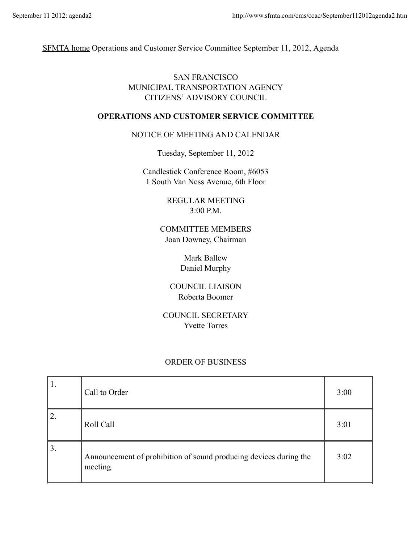SFMTA home Operations and Customer Service Committee September 11, 2012, Agenda

## SAN FRANCISCO MUNICIPAL TRANSPORTATION AGENCY CITIZENS' ADVISORY COUNCIL

## **OPERATIONS AND CUSTOMER SERVICE COMMITTEE**

## NOTICE OF MEETING AND CALENDAR

Tuesday, September 11, 2012

Candlestick Conference Room, #6053 1 South Van Ness Avenue, 6th Floor

> REGULAR MEETING 3:00 P.M.

COMMITTEE MEMBERS Joan Downey, Chairman

> Mark Ballew Daniel Murphy

COUNCIL LIAISON Roberta Boomer

COUNCIL SECRETARY Yvette Torres

## ORDER OF BUSINESS

| 11. | Call to Order                                                                 | 3:00 |
|-----|-------------------------------------------------------------------------------|------|
| 2.  | Roll Call                                                                     | 3:01 |
| 3.  | Announcement of prohibition of sound producing devices during the<br>meeting. | 3:02 |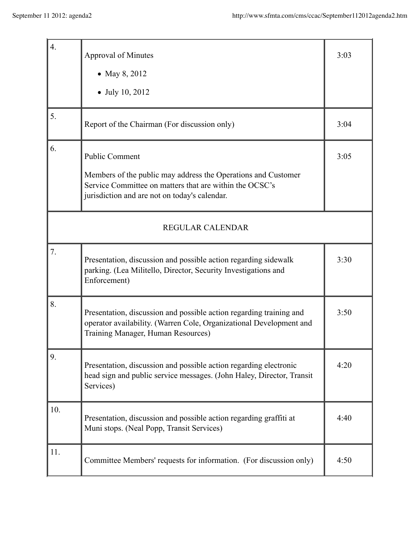| 4.                      | <b>Approval of Minutes</b>                                                                                                                                                                         | 3:03 |  |
|-------------------------|----------------------------------------------------------------------------------------------------------------------------------------------------------------------------------------------------|------|--|
|                         | • May 8, 2012<br>July 10, 2012                                                                                                                                                                     |      |  |
| 5.                      | Report of the Chairman (For discussion only)                                                                                                                                                       | 3:04 |  |
| 6.                      | <b>Public Comment</b><br>Members of the public may address the Operations and Customer<br>Service Committee on matters that are within the OCSC's<br>jurisdiction and are not on today's calendar. | 3:05 |  |
| <b>REGULAR CALENDAR</b> |                                                                                                                                                                                                    |      |  |
| 7.                      | Presentation, discussion and possible action regarding sidewalk<br>parking. (Lea Militello, Director, Security Investigations and<br>Enforcement)                                                  | 3:30 |  |
| 8.                      | Presentation, discussion and possible action regarding training and<br>operator availability. (Warren Cole, Organizational Development and<br>Training Manager, Human Resources)                   | 3:50 |  |
| 9.                      | Presentation, discussion and possible action regarding electronic<br>head sign and public service messages. (John Haley, Director, Transit<br>Services)                                            | 4:20 |  |
| 10.                     | Presentation, discussion and possible action regarding graffiti at<br>Muni stops. (Neal Popp, Transit Services)                                                                                    | 4:40 |  |
| 11.                     | Committee Members' requests for information. (For discussion only)                                                                                                                                 | 4:50 |  |